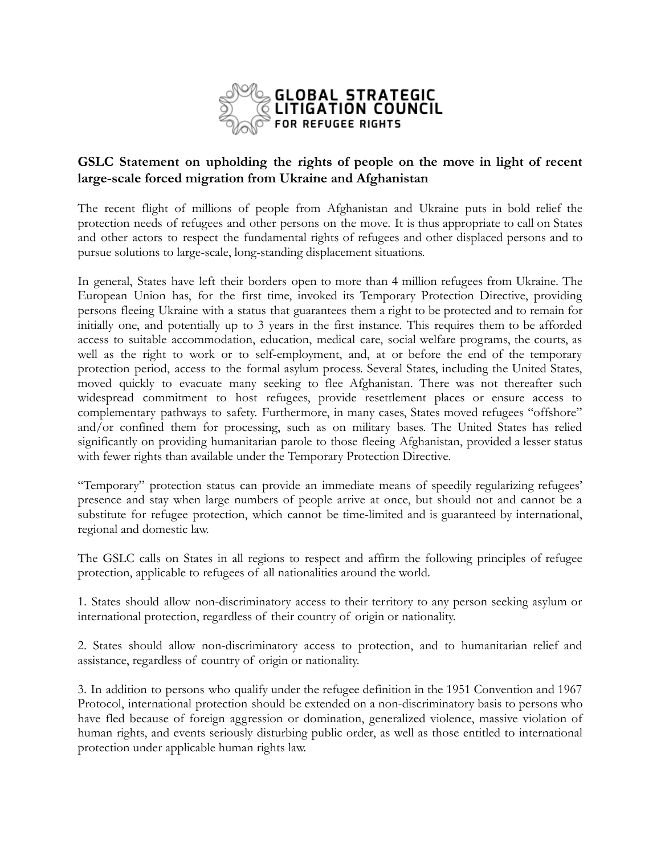

## **GSLC Statement on upholding the rights of people on the move in light of recent large-scale forced migration from Ukraine and Afghanistan**

The recent flight of millions of people from Afghanistan and Ukraine puts in bold relief the protection needs of refugees and other persons on the move. It is thus appropriate to call on States and other actors to respect the fundamental rights of refugees and other displaced persons and to pursue solutions to large-scale, long-standing displacement situations.

In general, States have left their borders open to more than 4 million refugees from Ukraine. The European Union has, for the first time, invoked its Temporary Protection Directive, providing persons fleeing Ukraine with a status that guarantees them a right to be protected and to remain for initially one, and potentially up to 3 years in the first instance. This requires them to be afforded access to suitable accommodation, education, medical care, social welfare programs, the courts, as well as the right to work or to self-employment, and, at or before the end of the temporary protection period, access to the formal asylum process. Several States, including the United States, moved quickly to evacuate many seeking to flee Afghanistan. There was not thereafter such widespread commitment to host refugees, provide resettlement places or ensure access to complementary pathways to safety. Furthermore, in many cases, States moved refugees "offshore" and/or confined them for processing, such as on military bases. The United States has relied significantly on providing humanitarian parole to those fleeing Afghanistan, provided a lesser status with fewer rights than available under the Temporary Protection Directive.

"Temporary" protection status can provide an immediate means of speedily regularizing refugees' presence and stay when large numbers of people arrive at once, but should not and cannot be a substitute for refugee protection, which cannot be time-limited and is guaranteed by international, regional and domestic law.

The GSLC calls on States in all regions to respect and affirm the following principles of refugee protection, applicable to refugees of all nationalities around the world.

1. States should allow non-discriminatory access to their territory to any person seeking asylum or international protection, regardless of their country of origin or nationality.

2. States should allow non-discriminatory access to protection, and to humanitarian relief and assistance, regardless of country of origin or nationality.

3. In addition to persons who qualify under the refugee definition in the 1951 Convention and 1967 Protocol, international protection should be extended on a non-discriminatory basis to persons who have fled because of foreign aggression or domination, generalized violence, massive violation of human rights, and events seriously disturbing public order, as well as those entitled to international protection under applicable human rights law.